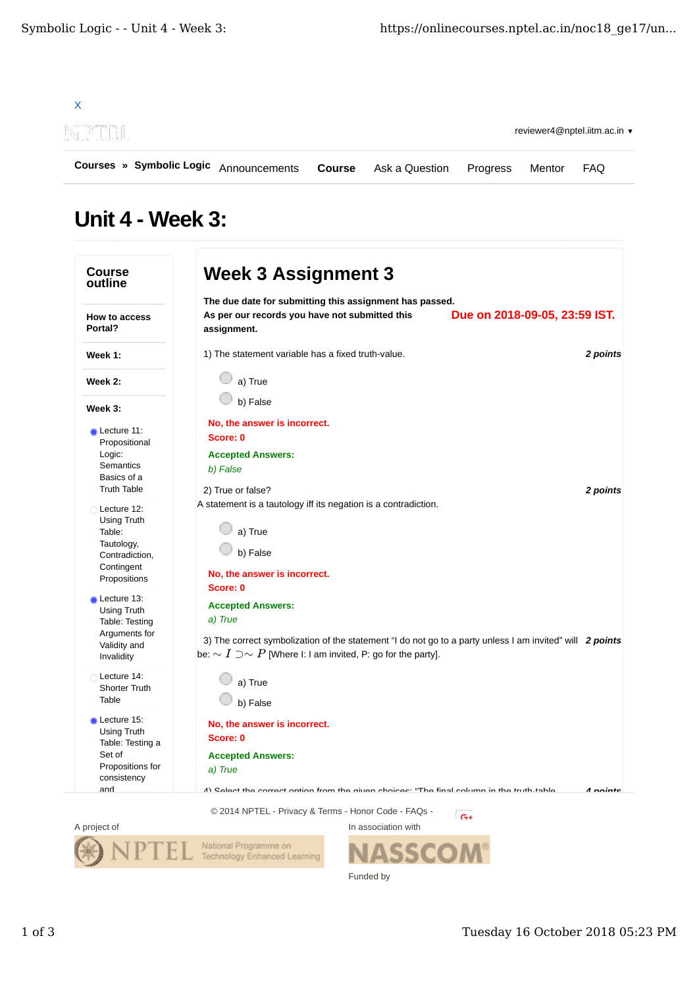

## Unit 4 - Week 3:

| <b>Course</b><br>outline                                                                                | <b>Week 3 Assignment 3</b>                                                                                                                                                                                                   |          |
|---------------------------------------------------------------------------------------------------------|------------------------------------------------------------------------------------------------------------------------------------------------------------------------------------------------------------------------------|----------|
| How to access<br>Portal?                                                                                | The due date for submitting this assignment has passed.<br>As per our records you have not submitted this<br>Due on 2018-09-05, 23:59 IST.<br>assignment.                                                                    |          |
| Week 1:                                                                                                 | 1) The statement variable has a fixed truth-value.                                                                                                                                                                           | 2 points |
| Week 2:                                                                                                 | a) True                                                                                                                                                                                                                      |          |
| Week 3:                                                                                                 | b) False                                                                                                                                                                                                                     |          |
| $\blacksquare$ Lecture 11:<br>Propositional<br>Logic:<br>Semantics<br>Basics of a<br><b>Truth Table</b> | No, the answer is incorrect.<br>Score: 0<br><b>Accepted Answers:</b><br>b) False<br>2) True or false?                                                                                                                        | 2 points |
| Lecture 12:<br>Using Truth<br>Table:<br>Tautology,<br>Contradiction,<br>Contingent<br>Propositions      | A statement is a tautology iff its negation is a contradiction.<br>a) True<br>b) False<br>No, the answer is incorrect.<br>Score: 0                                                                                           |          |
| Lecture 13:<br>Using Truth<br>Table: Testing<br>Arguments for<br>Validity and<br>Invalidity             | <b>Accepted Answers:</b><br>a) True<br>3) The correct symbolization of the statement "I do not go to a party unless I am invited" will 2 points<br>be: $\sim I \supset \sim P$ [Where I: I am invited, P: go for the party]. |          |
| Lecture 14:<br><b>Shorter Truth</b><br>Table                                                            | a) True<br>b) False                                                                                                                                                                                                          |          |
| Lecture 15:<br>Using Truth<br>Table: Testing a<br>Set of<br>Propositions for<br>consistency<br>and      | No, the answer is incorrect.<br>Score: 0<br><b>Accepted Answers:</b><br>a) True<br>A) Calact tha corract ontion from tha givan choicae: "Tha final column in tha truth_tahla                                                 | A nointe |
|                                                                                                         |                                                                                                                                                                                                                              |          |



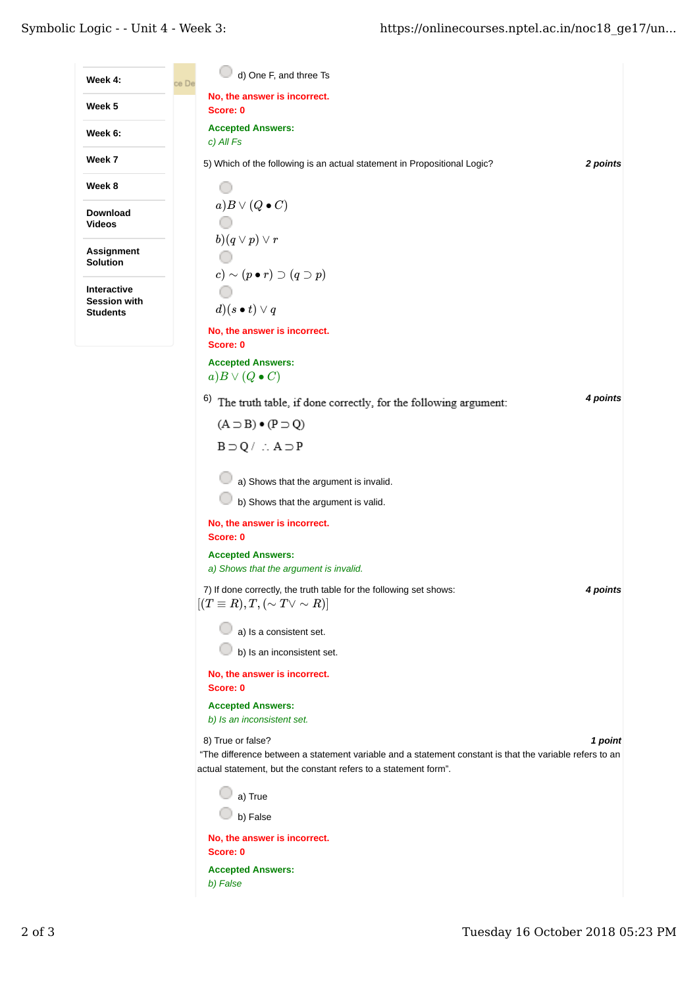| Week 4:                                                      | d) One F, and three Ts<br>ce De                                                                                                                                            |  |
|--------------------------------------------------------------|----------------------------------------------------------------------------------------------------------------------------------------------------------------------------|--|
| Week 5                                                       | No, the answer is incorrect.<br>Score: 0                                                                                                                                   |  |
| Week 6:                                                      | <b>Accepted Answers:</b><br>c) All Fs                                                                                                                                      |  |
| Week 7                                                       | 5) Which of the following is an actual statement in Propositional Logic?<br>2 points                                                                                       |  |
| Week 8                                                       |                                                                                                                                                                            |  |
| <b>Download</b><br><b>Videos</b>                             | $a) B \vee (Q \bullet C)$                                                                                                                                                  |  |
| <b>Assignment</b>                                            | $b)(q\vee p)\vee r$                                                                                                                                                        |  |
| Solution                                                     | $(c) \sim (p \bullet r) \supset (q \supset p)$                                                                                                                             |  |
| <b>Interactive</b><br><b>Session with</b><br><b>Students</b> | $d)(s \bullet t) \vee q$                                                                                                                                                   |  |
|                                                              | No, the answer is incorrect.                                                                                                                                               |  |
|                                                              | Score: 0                                                                                                                                                                   |  |
|                                                              | <b>Accepted Answers:</b>                                                                                                                                                   |  |
|                                                              | $a) B \vee (Q \bullet C)$                                                                                                                                                  |  |
|                                                              | 4 points<br>6)<br>The truth table, if done correctly, for the following argument:                                                                                          |  |
|                                                              | $(A \supset B) \bullet (P \supset Q)$                                                                                                                                      |  |
|                                                              | $B \supset Q / \therefore A \supset P$                                                                                                                                     |  |
|                                                              | a) Shows that the argument is invalid.                                                                                                                                     |  |
|                                                              | b) Shows that the argument is valid.                                                                                                                                       |  |
|                                                              | No, the answer is incorrect.<br>Score: 0                                                                                                                                   |  |
|                                                              | <b>Accepted Answers:</b><br>a) Shows that the argument is invalid.                                                                                                         |  |
|                                                              | 7) If done correctly, the truth table for the following set shows:<br>4 points<br>$[(T \equiv R), T, (\sim T \vee \sim R)]$                                                |  |
|                                                              | a) Is a consistent set.                                                                                                                                                    |  |
|                                                              | b) Is an inconsistent set.                                                                                                                                                 |  |
|                                                              | No, the answer is incorrect.<br>Score: 0                                                                                                                                   |  |
|                                                              | <b>Accepted Answers:</b><br>b) Is an inconsistent set.                                                                                                                     |  |
|                                                              | 8) True or false?<br>1 point                                                                                                                                               |  |
|                                                              | "The difference between a statement variable and a statement constant is that the variable refers to an<br>actual statement, but the constant refers to a statement form". |  |
|                                                              | a) True                                                                                                                                                                    |  |
|                                                              | b) False                                                                                                                                                                   |  |
|                                                              | No, the answer is incorrect.<br>Score: 0                                                                                                                                   |  |
|                                                              |                                                                                                                                                                            |  |
|                                                              | <b>Accepted Answers:</b><br>b) False                                                                                                                                       |  |